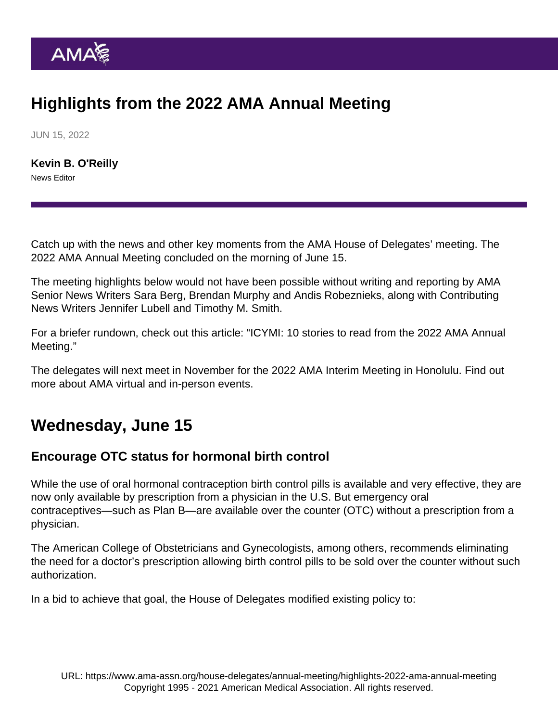# Highlights from the 2022 AMA Annual Meeting

JUN 15, 2022

[Kevin B. O'Reilly](https://www.ama-assn.org/news-leadership-viewpoints/authors-news-leadership-viewpoints/kevin-b-oreilly) News Editor

Catch up with the news and other key moments from the AMA House of Delegates' meeting. The [2022 AMA Annual Meeting](https://www.ama-assn.org/house-delegates/annual-meeting) concluded on the morning of June 15.

The meeting highlights below would not have been possible without writing and reporting by AMA Senior News Writers [Sara Berg,](https://www.ama-assn.org/news-leadership-viewpoints/authors-news-leadership-viewpoints/sara-berg-ms) [Brendan Murphy](https://www.ama-assn.org/news-leadership-viewpoints/authors-news-leadership-viewpoints/brendan-murphy) and [Andis Robeznieks,](https://www.ama-assn.org/news-leadership-viewpoints/authors-news-leadership-viewpoints/andis-robeznieks) along with Contributing News Writers [Jennifer Lubell](https://www.ama-assn.org/news-leadership-viewpoints/authors-news-leadership-viewpoints/jennifer-lubell) and [Timothy M. Smith.](https://www.ama-assn.org/news-leadership-viewpoints/authors-news-leadership-viewpoints/timothy-m-smith)

For a briefer rundown, check out this article: "[ICYMI: 10 stories to read from the 2022 AMA Annual](https://www.ama-assn.org/house-delegates/annual-meeting/icymi-10-stories-read-2022-ama-annual-meeting) [Meeting.](https://www.ama-assn.org/house-delegates/annual-meeting/icymi-10-stories-read-2022-ama-annual-meeting)"

The [delegates will next meet](https://www.ama-assn.org/house-delegates/hod-organization/future-meetings-ama-house-delegates) in November for the 2022 AMA Interim Meeting in Honolulu. Find out more about [AMA virtual and in-person events.](https://www.ama-assn.org/events)

## Wednesday, June 15

## Encourage OTC status for hormonal birth control

While the use of oral hormonal contraception birth control pills is available and very effective, they are now only available by prescription from a physician in the U.S. But emergency oral contraceptives—such as Plan B—are available over the counter (OTC) without a prescription from a physician.

The American College of Obstetricians and Gynecologists, among others, recommends eliminating the need for a doctor's prescription allowing birth control pills to be sold over the counter without such authorization.

In a bid to achieve that goal, the House of Delegates modified existing policy to: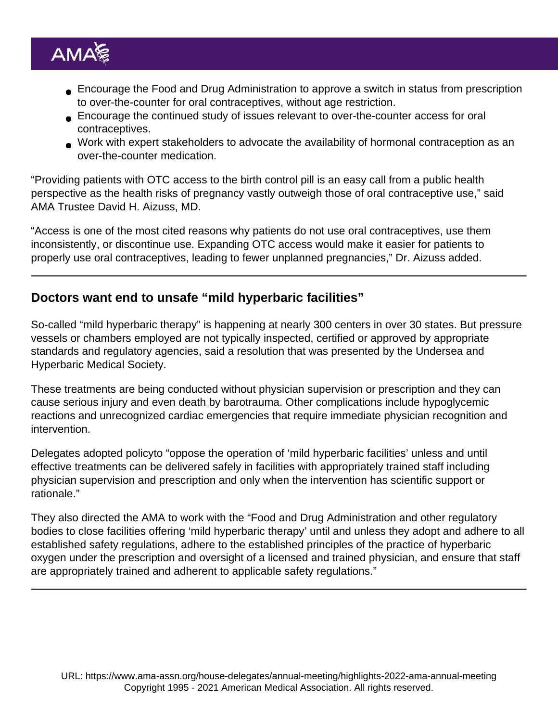- Encourage the Food and Drug Administration to approve a switch in status from prescription to over-the-counter for oral contraceptives, without age restriction.
- Encourage the continued study of issues relevant to over-the-counter access for oral contraceptives.
- Work with expert stakeholders to advocate the availability of hormonal contraception as an over-the-counter medication.

"Providing patients with OTC access to the birth control pill is an easy call from a public health perspective as the health risks of pregnancy vastly outweigh those of oral contraceptive use," said AMA Trustee [David H. Aizuss, MD](https://www.ama-assn.org/about/board-trustees/david-h-aizuss-md).

"Access is one of the most cited reasons why patients do not use oral contraceptives, use them inconsistently, or discontinue use. Expanding OTC access would make it easier for patients to properly use oral contraceptives, leading to fewer unplanned pregnancies," Dr. Aizuss added.

Doctors want end to unsafe "mild hyperbaric facilities"

So-called "mild hyperbaric therapy" is happening at nearly 300 centers in over 30 states. But pressure vessels or chambers employed are not typically inspected, certified or approved by appropriate standards and regulatory agencies, said a resolution that was presented by the Undersea and Hyperbaric Medical Society.

These treatments are being conducted without physician supervision or prescription and they can cause serious injury and even death by barotrauma. Other complications include hypoglycemic reactions and unrecognized cardiac emergencies that require immediate physician recognition and intervention.

Delegates adopted policyto "oppose the operation of 'mild hyperbaric facilities' unless and until effective treatments can be delivered safely in facilities with appropriately trained staff including physician supervision and prescription and only when the intervention has scientific support or rationale."

They also directed the AMA to work with the "Food and Drug Administration and other regulatory bodies to close facilities offering 'mild hyperbaric therapy' until and unless they adopt and adhere to all established safety regulations, adhere to the established principles of the practice of hyperbaric oxygen under the prescription and oversight of a licensed and trained physician, and ensure that staff are appropriately trained and adherent to applicable safety regulations."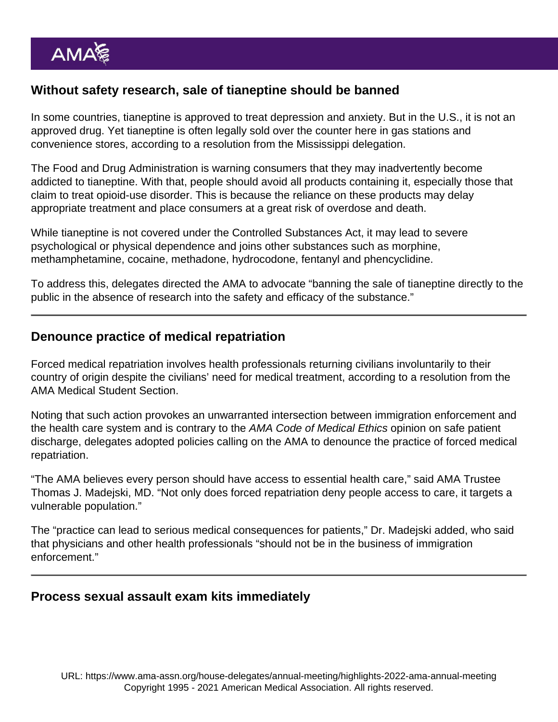#### Without safety research, sale of tianeptine should be banned

In some countries, tianeptine is approved to treat depression and anxiety. But in the U.S., it is not an approved drug. Yet tianeptine is often legally sold over the counter here in gas stations and convenience stores, according to a resolution from the Mississippi delegation.

The Food and Drug Administration is warning consumers that they may inadvertently become addicted to tianeptine. With that, people should avoid all products containing it, especially those that claim to treat opioid-use disorder. This is because the reliance on these products may delay appropriate treatment and place consumers at a great risk of overdose and death.

While tianeptine is not covered under the Controlled Substances Act, it may lead to severe psychological or physical dependence and joins other substances such as morphine, methamphetamine, cocaine, methadone, hydrocodone, fentanyl and phencyclidine.

To address this, delegates directed the AMA to advocate "banning the sale of tianeptine directly to the public in the absence of research into the safety and efficacy of the substance."

#### Denounce practice of medical repatriation

Forced medical repatriation involves health professionals returning civilians involuntarily to their country of origin despite the civilians' need for medical treatment, according to a resolution from the AMA Medical Student Section.

Noting that such action provokes an unwarranted intersection between immigration enforcement and the health care system and is contrary to the AMA Code of Medical Ethics [opinion on safe patient](https://www.ama-assn.org/delivering-care/ethics/physician-responsibilities-safe-patient-discharge) [discharge](https://www.ama-assn.org/delivering-care/ethics/physician-responsibilities-safe-patient-discharge), delegates adopted policies calling on the AMA to denounce the practice of forced medical repatriation.

"The AMA believes every person should have access to essential health care," said AMA Trustee [Thomas J. Madejski, MD](https://www.ama-assn.org/about/board-trustees/thomas-j-madejski-md). "Not only does forced repatriation deny people access to care, it targets a vulnerable population."

The "practice can lead to serious medical consequences for patients," Dr. Madejski added, who said that physicians and other health professionals "should not be in the business of immigration enforcement."

Process sexual assault exam kits immediately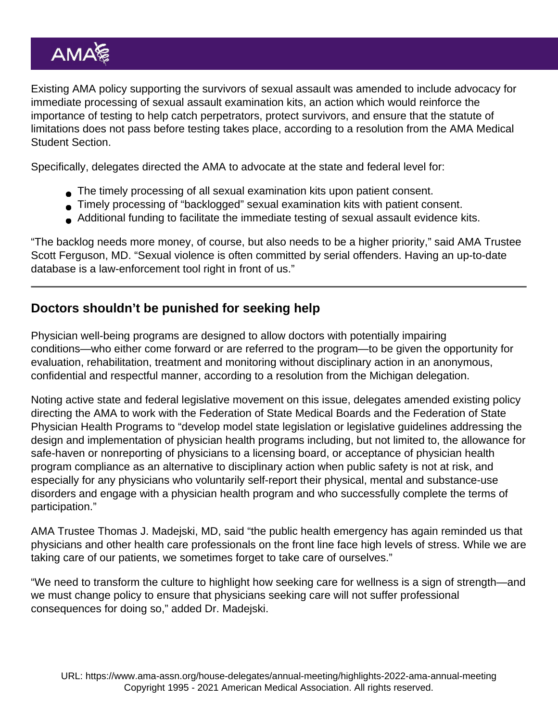Existing AMA policy supporting the survivors of sexual assault was amended to include advocacy for immediate processing of sexual assault examination kits, an action which would reinforce the importance of testing to help catch perpetrators, protect survivors, and ensure that the statute of limitations does not pass before testing takes place, according to a resolution from the AMA Medical Student Section.

Specifically, delegates directed the AMA to advocate at the state and federal level for:

- The timely processing of all sexual examination kits upon patient consent.
- Timely processing of "backlogged" sexual examination kits with patient consent.
- Additional funding to facilitate the immediate testing of sexual assault evidence kits.

"The backlog needs more money, of course, but also needs to be a higher priority," said AMA Trustee [Scott Ferguson, MD.](https://www.ama-assn.org/about/board-trustees/scott-ferguson-md) "Sexual violence is often committed by serial offenders. Having an up-to-date database is a law-enforcement tool right in front of us."

## Doctors shouldn't be punished for seeking help

Physician well-being programs are designed to allow doctors with potentially impairing conditions—who either come forward or are referred to the program—to be given the opportunity for evaluation, rehabilitation, treatment and monitoring without disciplinary action in an anonymous, confidential and respectful manner, according to a resolution from the Michigan delegation.

Noting active state and federal legislative movement on this issue, delegates amended existing policy directing the AMA to work with the Federation of State Medical Boards and the Federation of State Physician Health Programs to "develop model state legislation or legislative guidelines addressing the design and implementation of physician health programs including, but not limited to, the allowance for safe-haven or nonreporting of physicians to a licensing board, or acceptance of physician health program compliance as an alternative to disciplinary action when public safety is not at risk, and especially for any physicians who voluntarily self-report their physical, mental and substance-use disorders and engage with a physician health program and who successfully complete the terms of participation."

AMA Trustee [Thomas J. Madejski, MD](https://www.ama-assn.org/about/board-trustees/thomas-j-madejski-md), said "the public health emergency has again reminded us that physicians and other health care professionals on the front line face high levels of stress. While we are taking care of our patients, we sometimes forget to take care of ourselves."

"We need to transform the culture to highlight how seeking care for wellness is a sign of strength—and we must change policy to ensure that physicians seeking care will not suffer professional consequences for doing so," added Dr. Madejski.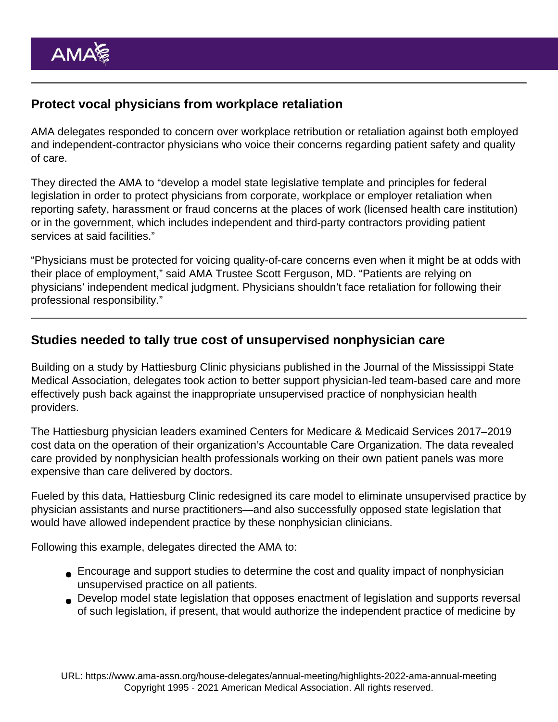## Protect vocal physicians from workplace retaliation

AMA delegates responded to concern over workplace retribution or retaliation against both employed and independent-contractor physicians who voice their concerns regarding patient safety and quality of care.

They directed the AMA to "develop a model state legislative template and principles for federal legislation in order to protect physicians from corporate, workplace or employer retaliation when reporting safety, harassment or fraud concerns at the places of work (licensed health care institution) or in the government, which includes independent and third-party contractors providing patient services at said facilities."

"Physicians must be protected for voicing quality-of-care concerns even when it might be at odds with their place of employment," said AMA Trustee [Scott Ferguson, MD](https://www.ama-assn.org/about/board-trustees/scott-ferguson-md). "Patients are relying on physicians' independent medical judgment. Physicians shouldn't face retaliation for following their professional responsibility."

#### Studies needed to tally true cost of unsupervised nonphysician care

Building on [a study by Hattiesburg Clinic physicians](https://www.ama-assn.org/practice-management/scope-practice/amid-doctor-shortage-nps-and-pas-seemed-fix-data-s-nope) published in the Journal of the Mississippi State Medical Association, delegates took action to better support physician-led team-based care and more effectively push back against the inappropriate unsupervised practice of nonphysician health providers.

The Hattiesburg physician leaders examined Centers for Medicare & Medicaid Services 2017–2019 cost data on the operation of their organization's Accountable Care Organization. The data revealed care provided by nonphysician health professionals working on their own patient panels was more expensive than care delivered by doctors.

Fueled by this data, Hattiesburg Clinic redesigned its care model to eliminate unsupervised practice by physician assistants and nurse practitioners—and also successfully opposed state legislation that would have allowed independent practice by these nonphysician clinicians.

Following this example, delegates directed the AMA to:

- Encourage and support studies to determine the cost and quality impact of nonphysician unsupervised practice on all patients.
- Develop model state legislation that opposes enactment of legislation and supports reversal of such legislation, if present, that would authorize the independent practice of medicine by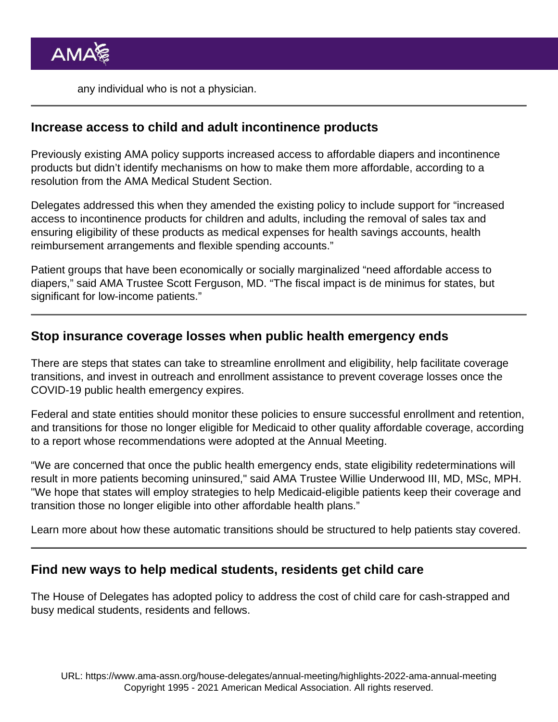any individual who is not a physician.

#### Increase access to child and adult incontinence products

Previously existing AMA policy supports increased access to affordable diapers and incontinence products but didn't identify mechanisms on how to make them more affordable, according to a resolution from the AMA Medical Student Section.

Delegates addressed this when they amended the existing policy to include support for "increased access to incontinence products for children and adults, including the removal of sales tax and ensuring eligibility of these products as medical expenses for health savings accounts, health reimbursement arrangements and flexible spending accounts."

Patient groups that have been economically or socially marginalized "need affordable access to diapers," said AMA Trustee [Scott Ferguson, MD](https://www.ama-assn.org/about/board-trustees/scott-ferguson-md). "The fiscal impact is de minimus for states, but significant for low-income patients."

#### Stop insurance coverage losses when public health emergency ends

There are steps that states can take to streamline enrollment and eligibility, help facilitate coverage transitions, and invest in outreach and enrollment assistance to prevent coverage losses once the COVID-19 public health emergency expires.

Federal and state entities should monitor these policies to ensure successful enrollment and retention, and transitions for those no longer eligible for Medicaid to other quality affordable coverage, according to a report whose recommendations were adopted at the Annual Meeting.

"We are concerned that once the public health emergency ends, state eligibility redeterminations will result in more patients becoming uninsured," said AMA Trustee [Willie Underwood III, MD, MSc, MPH](https://www.ama-assn.org/about/board-trustees/willie-underwood-iii-md-msc-mph). "We hope that states will employ strategies to help Medicaid-eligible patients keep their coverage and transition those no longer eligible into other affordable health plans."

Learn more about how these [automatic transitions should be structured to help patients stay covered](https://www.ama-assn.org/delivering-care/patient-support-advocacy/stop-insurance-coverage-losses-when-public-health).

Find new ways to help medical students, residents get child care

The House of Delegates has adopted policy to address the cost of child care for cash-strapped and busy medical students, residents and fellows.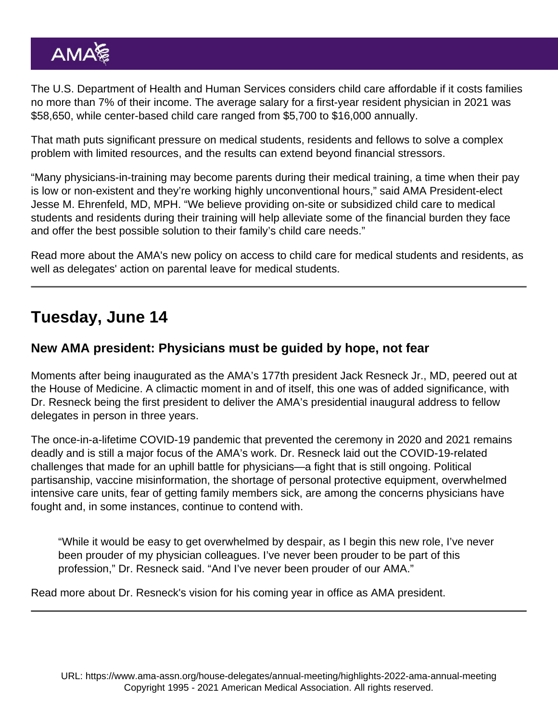The U.S. Department of Health and Human Services considers child care affordable if it costs families no more than 7% of their income. The average salary for a first-year resident physician in 2021 was \$58,650, while center-based child care ranged from \$5,700 to \$16,000 annually.

That math puts significant pressure on medical students, residents and fellows to solve a complex problem with limited resources, and the results can extend beyond financial stressors.

"Many physicians-in-training may become parents during their medical training, a time when their pay is low or non-existent and they're working highly unconventional hours," said AMA President-elect [Jesse M. Ehrenfeld, MD, MPH](https://www.ama-assn.org/about/board-trustees/jesse-m-ehrenfeld-md-mph). "We believe providing on-site or subsidized child care to medical students and residents during their training will help alleviate some of the financial burden they face and offer the best possible solution to their family's child care needs."

Read more about the AMA's new policy on [access to child care for medical students and residents](https://www.ama-assn.org/residents-students/resident-student-health/find-new-ways-help-medical-students-residents-get-child), as well as delegates' action on parental leave for medical students.

## Tuesday, June 14

#### New AMA president: Physicians must be guided by hope, not fear

Moments after being inaugurated as the AMA's 177th president [Jack Resneck Jr., MD](https://www.ama-assn.org/about/board-trustees/jack-resneck-jr-md), peered out at the House of Medicine. A climactic moment in and of itself, this one was of added significance, with Dr. Resneck being the first president to deliver the AMA's presidential inaugural address to fellow delegates in person in three years.

The once-in-a-lifetime COVID-19 pandemic that prevented the ceremony in 2020 and 2021 remains deadly and is still a major focus of the AMA's work. Dr. Resneck laid out the COVID-19-related challenges that made for an uphill battle for physicians—a fight that is still ongoing. Political partisanship, vaccine misinformation, the shortage of personal protective equipment, overwhelmed intensive care units, fear of getting family members sick, are among the concerns physicians have fought and, in some instances, continue to contend with.

"While it would be easy to get overwhelmed by despair, as I begin this new role, I've never been prouder of my physician colleagues. I've never been prouder to be part of this profession," Dr. Resneck said. "And I've never been prouder of our AMA."

Read more about Dr. Resneck's [vision for his coming year in office as AMA president.](https://www.ama-assn.org/about/leadership/new-ama-president-physicians-must-be-guided-hope-not-fear)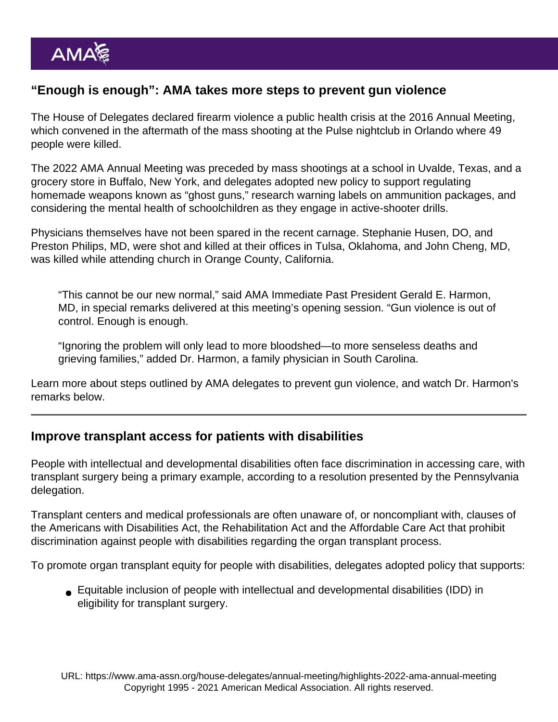#### "Enough is enough": AMA takes more steps to prevent gun violence

The House of Delegates declared [firearm violence a public health crisis](https://www.ama-assn.org/press-center/press-releases/ama-calls-gun-violence-public-health-crisis) at the 2016 Annual Meeting, which convened in the aftermath of the mass shooting at the Pulse nightclub in Orlando where 49 people were killed.

The [2022 AMA Annual Meeting](https://www.ama-assn.org/house-delegates/annual-meeting) was preceded by mass shootings at a school in [Uvalde, Texas,](https://www.ama-assn.org/press-center/press-releases/ama-statement-texas-school-shooting) and a grocery store in Buffalo, New York, and delegates adopted new policy to support regulating homemade weapons known as "ghost guns," research warning labels on ammunition packages, and considering the mental health of schoolchildren as they engage in active-shooter drills.

Physicians themselves have not been spared in the recent carnage. Stephanie Husen, DO, and Preston Philips, MD, were shot and killed at their offices in [Tulsa, Oklahoma,](https://www.ama-assn.org/press-center/press-releases/ama-renews-call-gun-violence-prevention-wake-tulsa-shooting) and [John Cheng, MD,](https://twitter.com/AmerMedicalAssn/status/1527055345301995522) was killed while attending church in Orange County, California.

"This cannot be our new normal," said AMA Immediate Past President [Gerald E. Harmon,](https://www.ama-assn.org/about/board-trustees/gerald-e-harmon-md) [MD,](https://www.ama-assn.org/about/board-trustees/gerald-e-harmon-md) in special remarks [delivered at this meeting's opening session](https://www.youtube.com/watch?v=ZNk1_Ub9VQ4). "Gun violence is out of control. Enough is enough.

"Ignoring the problem will only lead to more bloodshed—to more senseless deaths and grieving families," added Dr. Harmon, a family physician in South Carolina.

Learn more about [steps outlined by AMA delegates to prevent gun violence](https://www.ama-assn.org/delivering-care/public-health/enough-enough-ama-takes-more-steps-prevent-gun-violence), and watch Dr. Harmon's remarks below.

#### Improve transplant access for patients with disabilities

People with intellectual and developmental disabilities often face discrimination in accessing care, with transplant surgery being a primary example, according to a resolution presented by the Pennsylvania delegation.

Transplant centers and medical professionals are often unaware of, or noncompliant with, clauses of the Americans with Disabilities Act, the Rehabilitation Act and the Affordable Care Act that prohibit discrimination against people with disabilities regarding the organ transplant process.

To promote organ transplant equity for people with disabilities, delegates adopted policy that supports:

Equitable inclusion of people with intellectual and developmental disabilities (IDD) in eligibility for transplant surgery.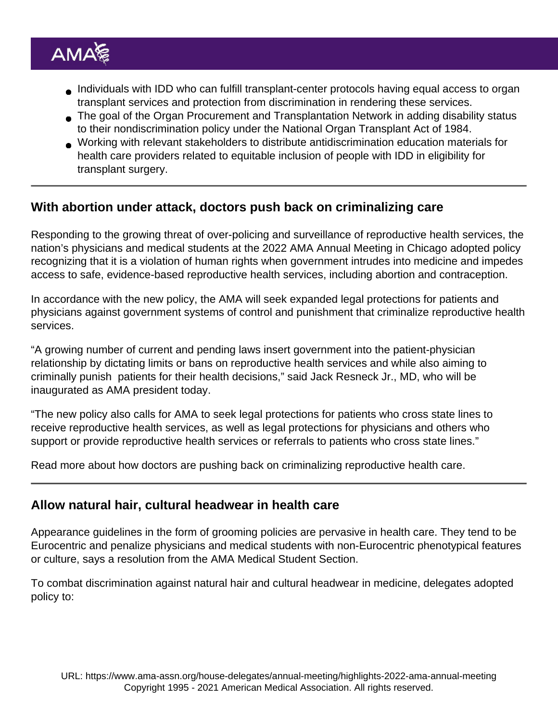- Individuals with IDD who can fulfill transplant-center protocols having equal access to organ transplant services and protection from discrimination in rendering these services.
- The goal of the Organ Procurement and Transplantation Network in adding disability status to their nondiscrimination policy under the National Organ Transplant Act of 1984.
- Working with relevant stakeholders to distribute antidiscrimination education materials for health care providers related to equitable inclusion of people with IDD in eligibility for transplant surgery.

With abortion under attack, doctors push back on criminalizing care

Responding to the growing threat of over-policing and surveillance of reproductive health services, the nation's physicians and medical students at the [2022 AMA Annual Meeting](https://www.ama-assn.org/house-delegates/annual-meeting) in Chicago adopted policy recognizing that it is a violation of human rights when government intrudes into medicine and impedes access to safe, evidence-based reproductive health services, including abortion and contraception.

In accordance with the new policy, the AMA will seek expanded legal protections for patients and physicians against government systems of control and punishment that criminalize reproductive health services.

"A growing number of current and pending laws insert government into the patient-physician relationship by dictating limits or bans on reproductive health services and while also aiming to criminally punish patients for their health decisions," said [Jack Resneck Jr., MD](https://www.ama-assn.org/about/board-trustees/jack-resneck-jr-md), who will be inaugurated as AMA president today.

"The new policy also calls for AMA to seek legal protections for patients who cross state lines to receive reproductive health services, as well as legal protections for physicians and others who support or provide reproductive health services or referrals to patients who cross state lines."

Read more about how doctors are [pushing back on criminalizing reproductive health care.](https://www.ama-assn.org/delivering-care/population-care/abortion-under-attack-doctors-push-back-criminalizing-care)

#### Allow natural hair, cultural headwear in health care

Appearance guidelines in the form of grooming policies are pervasive in health care. They tend to be Eurocentric and penalize physicians and medical students with non-Eurocentric phenotypical features or culture, says a resolution from the AMA Medical Student Section.

To combat discrimination against natural hair and cultural headwear in medicine, delegates adopted policy to: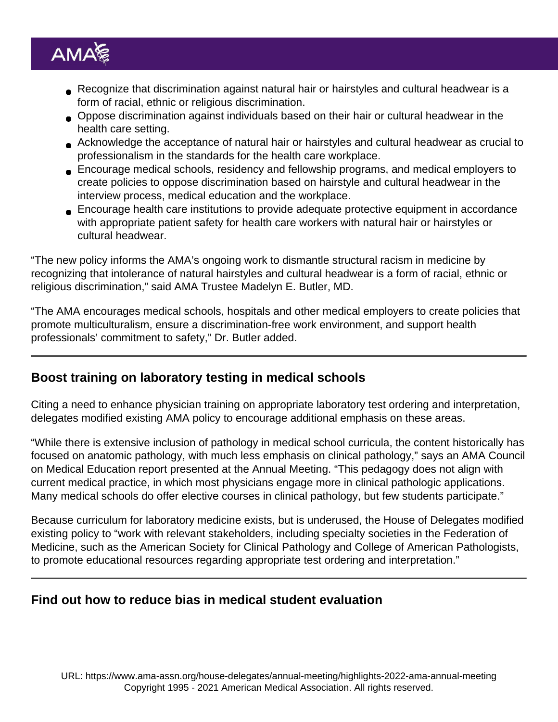- Recognize that discrimination against natural hair or hairstyles and cultural headwear is a form of racial, ethnic or religious discrimination.
- Oppose discrimination against individuals based on their hair or cultural headwear in the health care setting.
- Acknowledge the acceptance of natural hair or hairstyles and cultural headwear as crucial to professionalism in the standards for the health care workplace.
- Encourage medical schools, residency and fellowship programs, and medical employers to create policies to oppose discrimination based on hairstyle and cultural headwear in the interview process, medical education and the workplace.
- Encourage health care institutions to provide adequate protective equipment in accordance with appropriate patient safety for health care workers with natural hair or hairstyles or cultural headwear.

"The new policy informs the AMA's ongoing work to dismantle structural racism in medicine by recognizing that intolerance of natural hairstyles and cultural headwear is a form of racial, ethnic or religious discrimination," said AMA Trustee [Madelyn E. Butler, MD.](https://www.ama-assn.org/about/board-trustees/madelyn-e-butler-md)

"The AMA encourages medical schools, hospitals and other medical employers to create policies that promote multiculturalism, ensure a discrimination-free work environment, and support health professionals' commitment to safety," Dr. Butler added.

## Boost training on laboratory testing in medical schools

Citing a need to enhance physician training on appropriate laboratory test ordering and interpretation, delegates modified existing AMA policy to encourage additional emphasis on these areas.

"While there is extensive inclusion of pathology in medical school curricula, the content historically has focused on anatomic pathology, with much less emphasis on clinical pathology," says an AMA Council on Medical Education report presented at the Annual Meeting. "This pedagogy does not align with current medical practice, in which most physicians engage more in clinical pathologic applications. Many medical schools do offer elective courses in clinical pathology, but few students participate."

Because curriculum for laboratory medicine exists, but is underused, the House of Delegates modified existing policy to "work with relevant stakeholders, including specialty societies in the Federation of Medicine, such as the American Society for Clinical Pathology and College of American Pathologists, to promote educational resources regarding appropriate test ordering and interpretation."

Find out how to reduce bias in medical student evaluation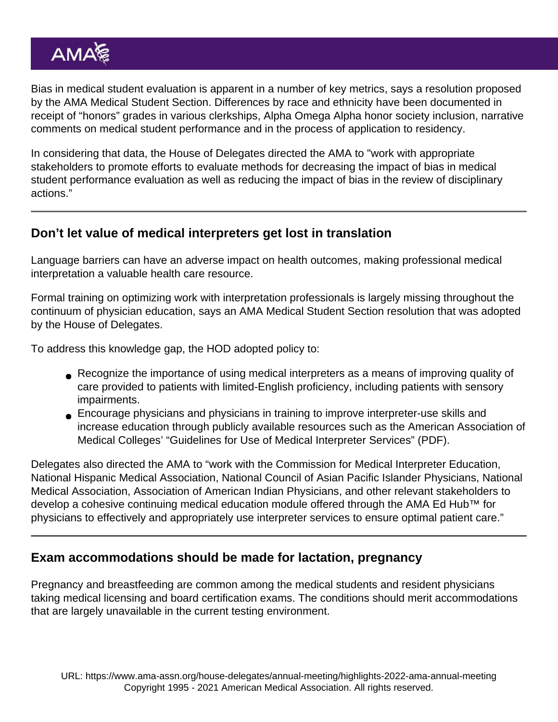Bias in medical student evaluation is apparent in a number of key metrics, says a resolution proposed by the AMA Medical Student Section. Differences by race and ethnicity have been documented in receipt of "honors" grades in various clerkships, Alpha Omega Alpha honor society inclusion, narrative comments on medical student performance and in the process of application to residency.

In considering that data, the House of Delegates directed the AMA to "work with appropriate stakeholders to promote efforts to evaluate methods for decreasing the impact of bias in medical student performance evaluation as well as reducing the impact of bias in the review of disciplinary actions."

#### Don't let value of medical interpreters get lost in translation

Language barriers can have an adverse impact on health outcomes, making professional medical interpretation a valuable health care resource.

Formal training on optimizing work with interpretation professionals is largely missing throughout the continuum of physician education, says an AMA Medical Student Section resolution that was adopted by the House of Delegates.

To address this knowledge gap, the HOD adopted policy to:

- Recognize the importance of using medical interpreters as a means of improving quality of care provided to patients with limited-English proficiency, including patients with sensory impairments.
- Encourage physicians and physicians in training to improve interpreter-use skills and increase education through publicly available resources such as the American Association of Medical Colleges' ["Guidelines for Use of Medical Interpreter Services](https://www.aamc.org/download/70338/data/interpreter-guidelines.pdf)" (PDF).

Delegates also directed the AMA to "work with the Commission for Medical Interpreter Education, National Hispanic Medical Association, National Council of Asian Pacific Islander Physicians, National Medical Association, Association of American Indian Physicians, and other relevant stakeholders to develop a cohesive continuing medical education module offered through the [AMA Ed Hub™](https://edhub.ama-assn.org/) for physicians to effectively and appropriately use interpreter services to ensure optimal patient care."

## Exam accommodations should be made for lactation, pregnancy

Pregnancy and breastfeeding are common among the medical students and resident physicians taking medical licensing and board certification exams. The conditions should merit accommodations that are largely unavailable in the current testing environment.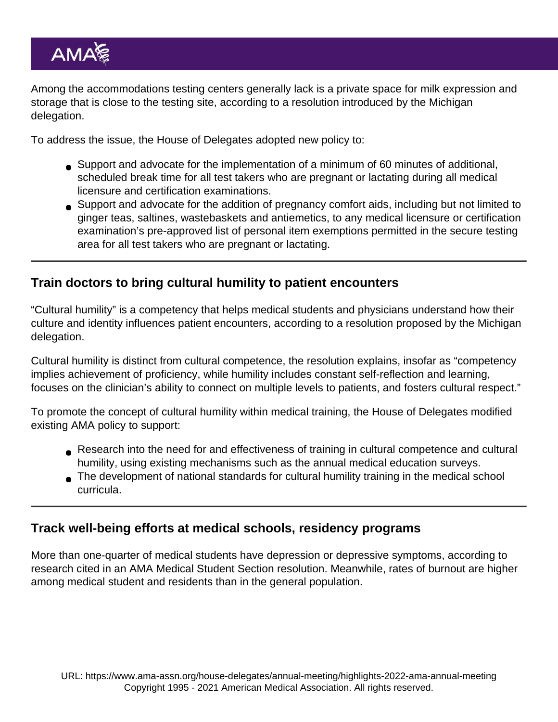Among the accommodations testing centers generally lack is a private space for milk expression and storage that is close to the testing site, according to a resolution introduced by the Michigan delegation.

To address the issue, the House of Delegates adopted new policy to:

- Support and advocate for the implementation of a minimum of 60 minutes of additional, scheduled break time for all test takers who are pregnant or lactating during all medical licensure and certification examinations.
- Support and advocate for the addition of pregnancy comfort aids, including but not limited to ginger teas, saltines, wastebaskets and antiemetics, to any medical licensure or certification examination's pre-approved list of personal item exemptions permitted in the secure testing area for all test takers who are pregnant or lactating.

Train doctors to bring cultural humility to patient encounters

"Cultural humility" is a competency that helps medical students and physicians understand how their culture and identity influences patient encounters, according to a resolution proposed by the Michigan delegation.

Cultural humility is distinct from cultural competence, the resolution explains, insofar as "competency implies achievement of proficiency, while humility includes constant self-reflection and learning, focuses on the clinician's ability to connect on multiple levels to patients, and fosters cultural respect."

To promote the concept of cultural humility within medical training, the House of Delegates modified existing AMA policy to support:

- Research into the need for and effectiveness of training in cultural competence and cultural humility, using existing mechanisms such as the annual medical education surveys.
- The development of national standards for cultural humility training in the medical school curricula.

Track well-being efforts at medical schools, residency programs

More than one-quarter of medical students have depression or depressive symptoms, according to research cited in an AMA Medical Student Section resolution. Meanwhile, rates of burnout are higher among medical student and residents than in the general population.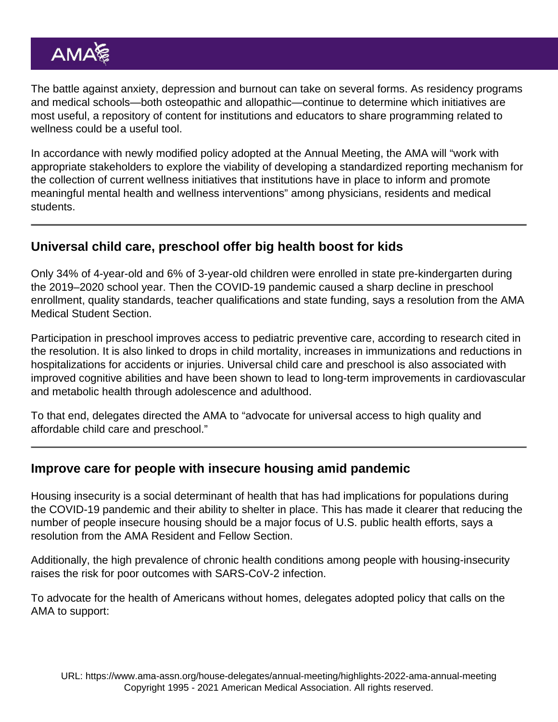The battle against anxiety, depression and burnout can take on several forms. As residency programs and medical schools—both osteopathic and allopathic—continue to determine which initiatives are most useful, a repository of content for institutions and educators to share programming related to wellness could be a useful tool.

In accordance with newly modified policy adopted at the Annual Meeting, the AMA will "work with appropriate stakeholders to explore the viability of developing a standardized reporting mechanism for the collection of current wellness initiatives that institutions have in place to inform and promote meaningful mental health and wellness interventions" among physicians, residents and medical students.

## Universal child care, preschool offer big health boost for kids

Only 34% of 4-year-old and 6% of 3-year-old children were enrolled in state pre-kindergarten during the 2019–2020 school year. Then the COVID-19 pandemic caused a sharp decline in preschool enrollment, quality standards, teacher qualifications and state funding, says a resolution from the AMA Medical Student Section.

Participation in preschool improves access to pediatric preventive care, according to research cited in the resolution. It is also linked to drops in child mortality, increases in immunizations and reductions in hospitalizations for accidents or injuries. Universal child care and preschool is also associated with improved cognitive abilities and have been shown to lead to long-term improvements in cardiovascular and metabolic health through adolescence and adulthood.

To that end, delegates directed the AMA to "advocate for universal access to high quality and affordable child care and preschool."

#### Improve care for people with insecure housing amid pandemic

Housing insecurity is a social determinant of health that has had implications for populations during the COVID-19 pandemic and their ability to shelter in place. This has made it clearer that reducing the number of people insecure housing should be a major focus of U.S. public health efforts, says a resolution from the AMA Resident and Fellow Section.

Additionally, the high prevalence of chronic health conditions among people with housing-insecurity raises the risk for poor outcomes with SARS-CoV-2 infection.

To advocate for the health of Americans without homes, delegates adopted policy that calls on the AMA to support: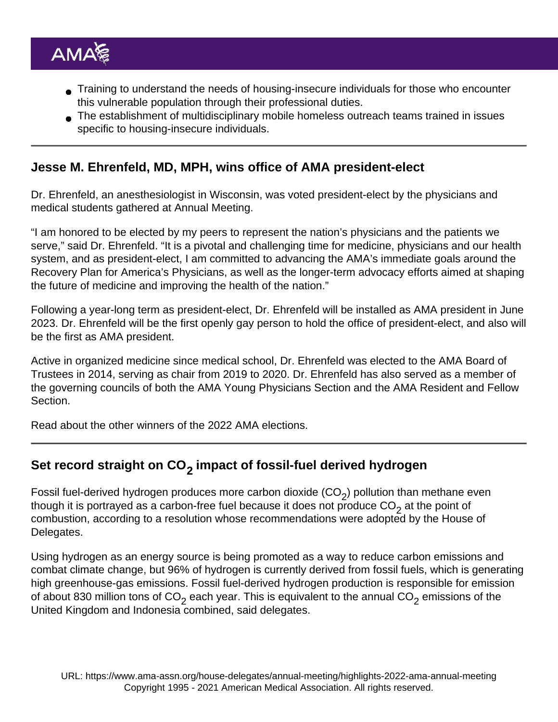- Training to understand the needs of housing-insecure individuals for those who encounter this vulnerable population through their professional duties.
- The establishment of multidisciplinary mobile homeless outreach teams trained in issues specific to housing-insecure individuals.

#### Jesse M. Ehrenfeld, MD, MPH, wins office of AMA president-elect

[Dr. Ehrenfeld,](https://www.ama-assn.org/about/board-trustees/jesse-m-ehrenfeld-md-mph) an anesthesiologist in Wisconsin, was voted president-elect by the physicians and medical students gathered at Annual Meeting.

"I am honored to be elected by my peers to represent the nation's physicians and the patients we serve," said Dr. Ehrenfeld. "It is a pivotal and challenging time for medicine, physicians and our health system, and as president-elect, I am committed to advancing the AMA's immediate goals around the [Recovery Plan for America's Physicians](https://www.ama-assn.org/amaone/ama-recovery-plan-america-s-physicians), as well as the longer-term advocacy efforts aimed at shaping the future of medicine and improving the health of the nation."

Following a year-long term as president-elect, Dr. Ehrenfeld will be installed as AMA president in June 2023. Dr. Ehrenfeld will be the first openly gay person to hold the office of president-elect, and also will be the first as AMA president.

Active in organized medicine since medical school, Dr. Ehrenfeld was elected to the [AMA Board of](https://www.ama-assn.org/about/board-trustees/board-trustees-members) [Trustees](https://www.ama-assn.org/about/board-trustees/board-trustees-members) in 2014, serving as chair from 2019 to 2020. Dr. Ehrenfeld has also served as a member of the governing councils of both the [AMA Young Physicians Section](https://www.ama-assn.org/member-groups-sections/young-physicians) and the [AMA Resident and Fellow](https://www.ama-assn.org/about/resident-and-fellow-section-rfs) [Section](https://www.ama-assn.org/about/resident-and-fellow-section-rfs).

Read about the other [winners of the 2022 AMA elections.](https://www.ama-assn.org/about/leadership/jesse-m-ehrenfeld-md-wins-office-ama-president-elect)

## Set record straight on  $CO_{2}$  impact of fossil-fuel derived hydrogen

Fossil fuel-derived hydrogen produces more carbon dioxide  $(CO_2)$  pollution than methane even though it is portrayed as a carbon-free fuel because it does not produce CO<sub>2</sub> at the point of combustion, according to a resolution whose recommendations were adopted by the House of Delegates.

Using hydrogen as an energy source is being promoted as a way to reduce carbon emissions and combat climate change, but 96% of hydrogen is currently derived from fossil fuels, which is generating high greenhouse-gas emissions. Fossil fuel-derived hydrogen production is responsible for emission of about 830 million tons of CO<sub>2</sub> each year. This is equivalent to the annual CO<sub>2</sub> emissions of the United Kingdom and Indonesia combined, said delegates.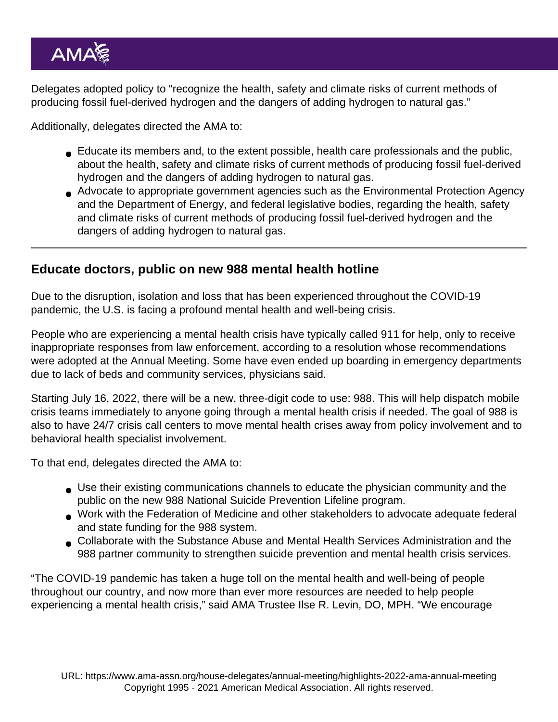Delegates adopted policy to "recognize the health, safety and climate risks of current methods of producing fossil fuel-derived hydrogen and the dangers of adding hydrogen to natural gas."

Additionally, delegates directed the AMA to:

- Educate its members and, to the extent possible, health care professionals and the public, about the health, safety and climate risks of current methods of producing fossil fuel-derived hydrogen and the dangers of adding hydrogen to natural gas.
- Advocate to appropriate government agencies such as the Environmental Protection Agency and the Department of Energy, and federal legislative bodies, regarding the health, safety and climate risks of current methods of producing fossil fuel-derived hydrogen and the dangers of adding hydrogen to natural gas.

#### Educate doctors, public on new 988 mental health hotline

Due to the disruption, isolation and loss that has been experienced throughout the COVID-19 pandemic, the U.S. is facing a profound mental health and well-being crisis.

People who are experiencing a mental health crisis have typically called 911 for help, only to receive inappropriate responses from law enforcement, according to a resolution whose recommendations were adopted at the Annual Meeting. Some have even ended up boarding in emergency departments due to lack of beds and community services, physicians said.

Starting July 16, 2022, there will be a new, three-digit code to use: 988. This will help dispatch mobile crisis teams immediately to anyone going through a mental health crisis if needed. The goal of 988 is also to have 24/7 crisis call centers to move mental health crises away from policy involvement and to behavioral health specialist involvement.

To that end, delegates directed the AMA to:

- Use their existing communications channels to educate the physician community and the public on the new 988 National Suicide Prevention Lifeline program.
- Work with the Federation of Medicine and other stakeholders to advocate adequate federal and state funding for the 988 system.
- Collaborate with the Substance Abuse and Mental Health Services Administration and the 988 partner community to strengthen suicide prevention and mental health crisis services.

"The COVID-19 pandemic has taken a huge toll on the mental health and well-being of people throughout our country, and now more than ever more resources are needed to help people experiencing a mental health crisis," said AMA Trustee [Ilse R. Levin, DO, MPH](https://www.ama-assn.org/about/board-trustees/ilse-r-levin-do-mph-tm). "We encourage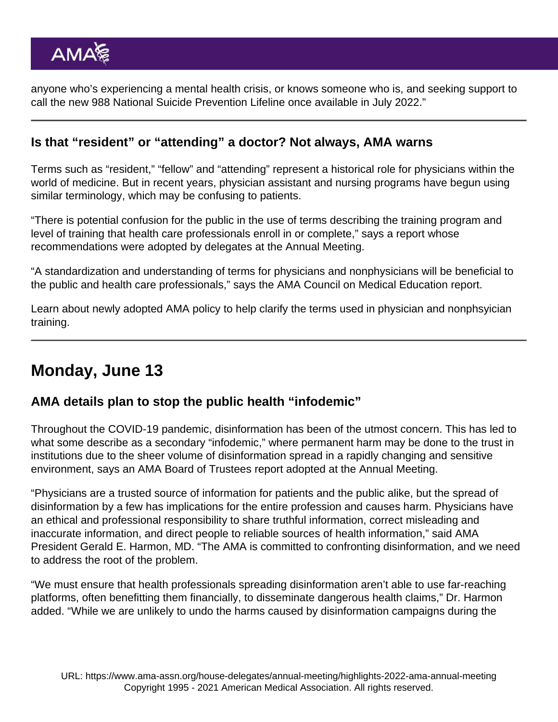anyone who's experiencing a mental health crisis, or knows someone who is, and seeking support to call the new 988 National Suicide Prevention Lifeline once available in July 2022."

#### Is that "resident" or "attending" a doctor? Not always, AMA warns

Terms such as "resident," "fellow" and "attending" represent a historical role for physicians within the world of medicine. But in recent years, physician assistant and nursing programs have begun using similar terminology, which may be confusing to patients.

"There is potential confusion for the public in the use of terms describing the training program and level of training that health care professionals enroll in or complete," says a report whose recommendations were adopted by delegates at the Annual Meeting.

"A standardization and understanding of terms for physicians and nonphysicians will be beneficial to the public and health care professionals," says the AMA Council on Medical Education report.

Learn about newly adopted AMA policy to help [clarify the terms used in physician and nonphsyician](https://www.ama-assn.org/practice-management/scope-practice/resident-or-attending-doctor-not-always-ama-warns) [training](https://www.ama-assn.org/practice-management/scope-practice/resident-or-attending-doctor-not-always-ama-warns).

## Monday, June 13

AMA details plan to stop the public health "infodemic"

Throughout the COVID-19 pandemic, disinformation has been of the utmost concern. This has led to what some describe as a secondary "infodemic," where permanent harm may be done to the trust in institutions due to the sheer volume of disinformation spread in a rapidly changing and sensitive environment, says an AMA Board of Trustees report adopted at the Annual Meeting.

"Physicians are a trusted source of information for patients and the public alike, but the spread of disinformation by a few has implications for the entire profession and causes harm. Physicians have an ethical and professional responsibility to share truthful information, correct misleading and inaccurate information, and direct people to reliable sources of health information," said AMA President Gerald E. Harmon, MD. "The AMA is committed to confronting disinformation, and we need to address the root of the problem.

"We must ensure that health professionals spreading disinformation aren't able to use far-reaching platforms, often benefitting them financially, to disseminate dangerous health claims," Dr. Harmon added. "While we are unlikely to undo the harms caused by disinformation campaigns during the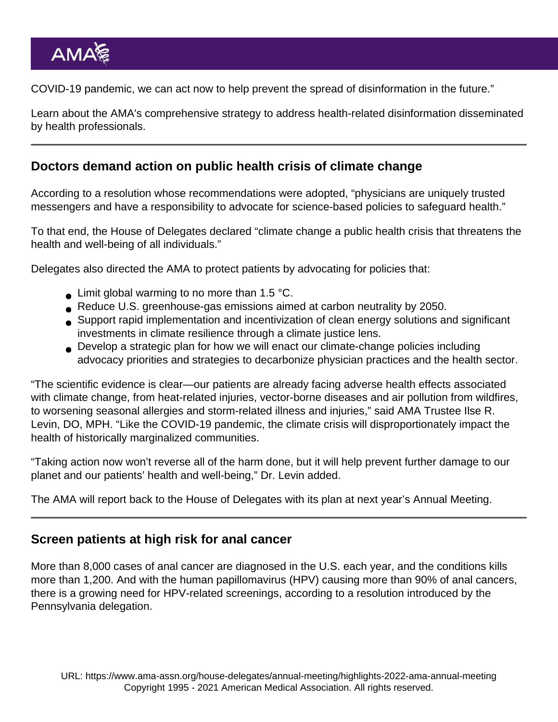COVID-19 pandemic, we can act now to help prevent the spread of disinformation in the future."

Learn about the AMA's comprehensive strategy to [address health-related disinformation disseminated](https://www.ama-assn.org/delivering-care/public-health/ama-details-plan-stop-public-health-infodemic) [by health professionals.](https://www.ama-assn.org/delivering-care/public-health/ama-details-plan-stop-public-health-infodemic)

## Doctors demand action on public health crisis of climate change

According to a resolution whose recommendations were adopted, "physicians are uniquely trusted messengers and have a responsibility to advocate for science-based policies to safeguard health."

To that end, the House of Delegates declared "climate change a public health crisis that threatens the health and well-being of all individuals."

Delegates also directed the AMA to protect patients by advocating for policies that:

- $\bullet$  Limit global warming to no more than 1.5 °C.
- Reduce U.S. greenhouse-gas emissions aimed at carbon neutrality by 2050.
- Support rapid implementation and incentivization of clean energy solutions and significant investments in climate resilience through a climate justice lens.
- Develop a strategic plan for how we will enact our climate-change policies including advocacy priorities and strategies to decarbonize physician practices and the health sector.

"The scientific evidence is clear—our patients are already facing adverse health effects associated with climate change, from heat-related injuries, vector-borne diseases and air pollution from wildfires, to worsening seasonal allergies and storm-related illness and injuries," said AMA Trustee [Ilse R.](https://www.ama-assn.org/about/board-trustees/ilse-r-levin-do-mph-tm) [Levin, DO, MPH.](https://www.ama-assn.org/about/board-trustees/ilse-r-levin-do-mph-tm) "Like the COVID-19 pandemic, the climate crisis will disproportionately impact the health of historically marginalized communities.

"Taking action now won't reverse all of the harm done, but it will help prevent further damage to our planet and our patients' health and well-being," Dr. Levin added.

The AMA will report back to the House of Delegates with its plan at next year's Annual Meeting.

#### Screen patients at high risk for anal cancer

More than 8,000 cases of anal cancer are diagnosed in the U.S. each year, and the conditions kills more than 1,200. And with the human papillomavirus (HPV) causing more than 90% of anal cancers, there is a growing need for HPV-related screenings, according to a resolution introduced by the Pennsylvania delegation.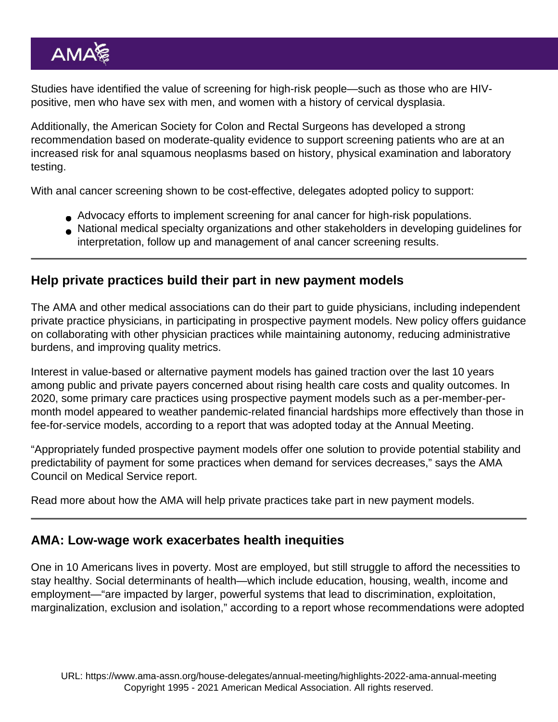Studies have identified the value of screening for high-risk people—such as those who are HIVpositive, men who have sex with men, and women with a history of cervical dysplasia.

Additionally, the American Society for Colon and Rectal Surgeons has developed a strong recommendation based on moderate-quality evidence to support screening patients who are at an increased risk for anal squamous neoplasms based on history, physical examination and laboratory testing.

With anal cancer screening shown to be cost-effective, delegates adopted policy to support:

- Advocacy efforts to implement screening for anal cancer for high-risk populations.
- National medical specialty organizations and other stakeholders in developing guidelines for interpretation, follow up and management of anal cancer screening results.

#### Help private practices build their part in new payment models

The AMA and other medical associations can do their part to guide physicians, including independent private practice physicians, in participating in prospective payment models. New policy offers guidance on collaborating with other physician practices while maintaining autonomy, reducing administrative burdens, and improving quality metrics.

Interest in value-based or alternative payment models has gained traction over the last 10 years among public and private payers concerned about rising health care costs and quality outcomes. In 2020, some primary care practices using prospective payment models such as a per-member-permonth model appeared to weather pandemic-related financial hardships more effectively than those in fee-for-service models, according to a report that was adopted today at the Annual Meeting.

"Appropriately funded prospective payment models offer one solution to provide potential stability and predictability of payment for some practices when demand for services decreases," says the AMA Council on Medical Service report.

Read more about how the AMA will [help private practices take part in new payment models.](https://www.ama-assn.org/practice-management/private-practices/help-private-practices-build-their-part-new-payment-models)

#### AMA: Low-wage work exacerbates health inequities

One in 10 Americans lives in poverty. Most are employed, but still struggle to afford the necessities to stay healthy. Social determinants of health—which include education, housing, wealth, income and employment—"are impacted by larger, powerful systems that lead to discrimination, exploitation, marginalization, exclusion and isolation," according to a report whose recommendations were adopted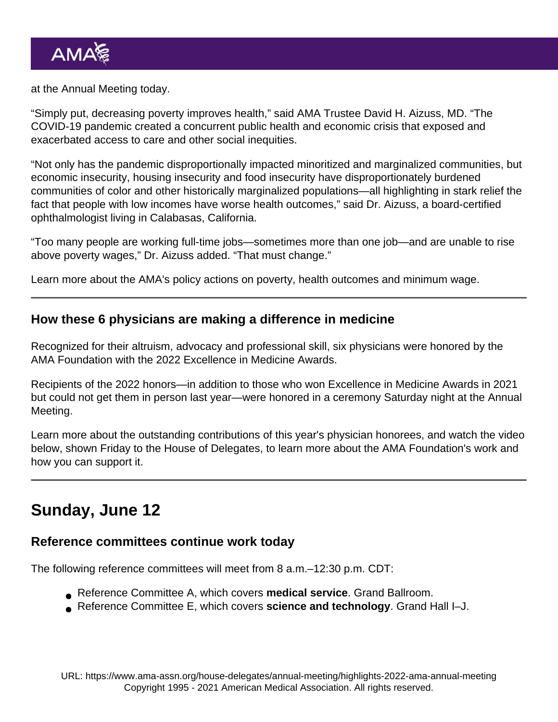at the Annual Meeting today.

"Simply put, decreasing poverty improves health," said AMA Trustee [David H. Aizuss, MD](https://www.ama-assn.org/about/board-trustees/david-h-aizuss-md). "The COVID-19 pandemic created a concurrent public health and economic crisis that exposed and exacerbated access to care and other social inequities.

"Not only has the pandemic disproportionally impacted minoritized and marginalized communities, but economic insecurity, housing insecurity and food insecurity have disproportionately burdened communities of color and other historically marginalized populations—all highlighting in stark relief the fact that people with low incomes have worse health outcomes," said Dr. Aizuss, a board-certified ophthalmologist living in Calabasas, California.

"Too many people are working full-time jobs—sometimes more than one job—and are unable to rise above poverty wages," Dr. Aizuss added. "That must change."

Learn more about the [AMA's policy actions on poverty, health outcomes and minimum wage](https://www.ama-assn.org/delivering-care/health-equity/ama-low-wage-work-exacerbates-health-inequities).

How these 6 physicians are making a difference in medicine

Recognized for their altruism, advocacy and professional skill, six physicians were honored by the [AMA Foundation](https://www.ama-assn.org/about/foundation) with the 2022 [Excellence in Medicine Awards.](https://amafoundation.org/programs/awards/)

Recipients of the 2022 honors—in addition to those who won [Excellence in Medicine Awards in 2021](https://www.ama-assn.org/about/awards/7-physicians-honored-their-contributions-medicine) but could not get them in person last year—were honored in a ceremony Saturday night at the Annual Meeting.

[Learn more about the outstanding contributions of this year's physician honorees,](https://www.ama-assn.org/about/awards/how-these-6-physicians-are-making-difference-medicine) and [watch the video](https://youtu.be/Yh3SfbekIbI) below, shown Friday to the House of Delegates, to learn more about the [AMA Foundation's work](https://amafoundation.org/programs/) and how you can support it.

## Sunday, June 12

Reference committees continue work today

The following reference committees will meet from 8 a.m.–12:30 p.m. CDT:

- Reference Committee A, which covers medical service . Grand Ballroom.
- Reference Committee E, which covers science and technology . Grand Hall I–J.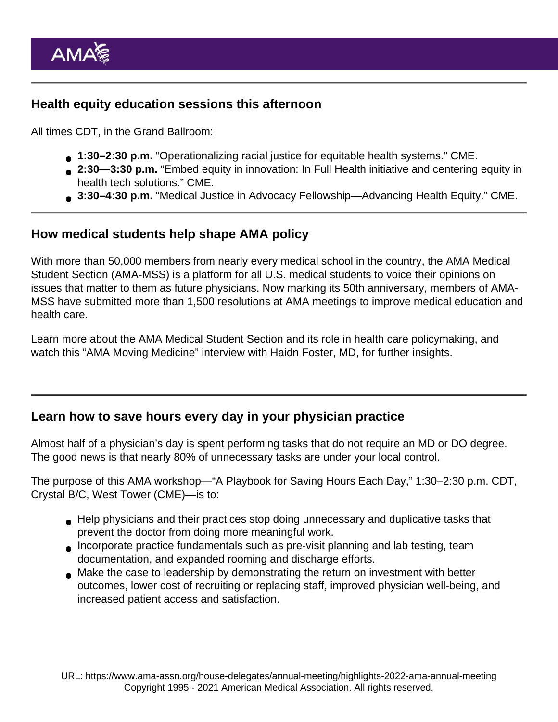#### Health equity education sessions this afternoon

All times CDT, in the Grand Ballroom:

- 1:30–2:30 p.m. "Operationalizing racial justice for equitable health systems." [CME](https://edhub.ama-assn.org/interactive/18699100).
- 2:30—3:30 p.m. "Embed equity in innovation: [In Full Health](https://infullhealth.org/) initiative and centering equity in health tech solutions." [CME.](https://edhub.ama-assn.org/interactive/18698732)
- 3:30–4:30 p.m. ["Medical Justice in Advocacy Fellowship](https://www.ama-assn.org/delivering-care/health-equity/medical-justice-advocacy-fellowship)—Advancing Health Equity." [CME](https://edhub.ama-assn.org/interactive/18698726).

#### How medical students help shape AMA policy

With more than 50,000 members from nearly every medical school in the country, the [AMA Medical](https://www.ama-assn.org/member-groups-sections/medical-students) [Student Section \(AMA-MSS\)](https://www.ama-assn.org/member-groups-sections/medical-students) is a platform for all U.S. medical students to voice their opinions on issues that matter to them as future physicians. Now marking its [50th anniversary,](https://www.ama-assn.org/member-groups-sections/medical-students/medical-student-section-mss-50th-anniversary) members of AMA-MSS have submitted more than 1,500 resolutions at AMA meetings to improve medical education and health care.

Learn more about the [AMA Medical Student Section and its role in health care policymaking,](https://www.ama-assn.org/member-groups-sections/medical-students/how-medical-students-help-shape-ama-policy-and-medicine-s) and watch this ["AMA Moving Medicine" interview](https://www.ama-assn.org/member-groups-sections/medical-students/medical-student-leadership-shapes-future-medicine-haidn) with Haidn Foster, MD, for further insights.

#### Learn how to save hours every day in your physician practice

Almost half of a physician's day is spent performing tasks that do not require an MD or DO degree. The good news is that nearly 80% of unnecessary tasks are under your local control.

The purpose of this AMA workshop—"A Playbook for Saving Hours Each Day," 1:30–2:30 p.m. CDT, Crystal B/C, West Tower ([CME](https://edhub.ama-assn.org/interactive/18699102))—is to:

- Help physicians and their practices stop doing unnecessary and duplicative tasks that prevent the doctor from doing more meaningful work.
- Incorporate practice fundamentals such as pre-visit planning and lab testing, team documentation, and expanded rooming and discharge efforts.
- Make the case to leadership by demonstrating the return on investment with better outcomes, lower cost of recruiting or replacing staff, improved physician well-being, and increased patient access and satisfaction.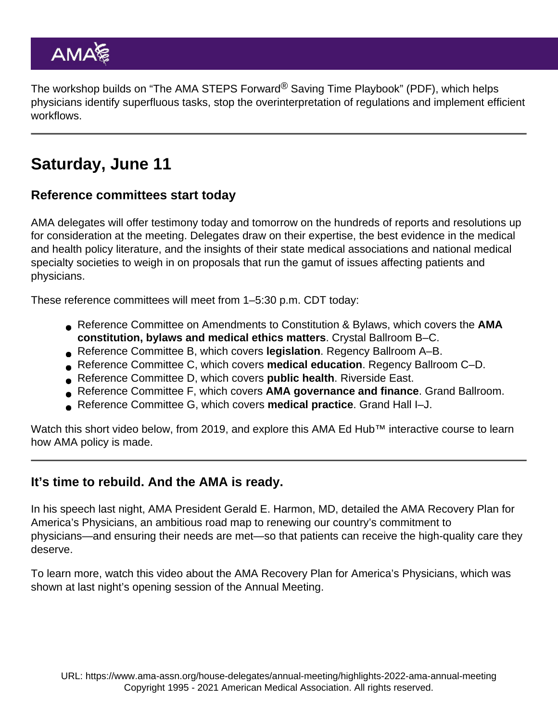The workshop builds on ["The AMA STEPS Forward](https://www.ama-assn.org/system/files/ama-steps-forward-saving-time-playbook.pdf)<sup>®</sup> Saving Time Playbook" (PDF), which helps physicians identify superfluous tasks, stop the overinterpretation of regulations and implement efficient workflows.

# Saturday, June 11

Reference committees start today

AMA delegates will offer testimony today and tomorrow on the hundreds of reports and resolutions up for consideration at the meeting. Delegates draw on their expertise, the best evidence in the medical and health policy literature, and the insights of their state medical associations and national medical specialty societies to weigh in on proposals that run the gamut of issues affecting patients and physicians.

These reference committees will meet from 1–5:30 p.m. CDT today:

- Reference Committee on Amendments to Constitution & Bylaws, which covers the AMA constitution, bylaws and medical ethics matters . Crystal Ballroom B–C.
- Reference Committee B, which covers legislation . Regency Ballroom A–B.
- Reference Committee C, which covers medical education . Regency Ballroom C–D.
- Reference Committee D, which covers public health . Riverside East.
- Reference Committee F, which covers AMA governance and finance . Grand Ballroom.
- Reference Committee G, which covers medical practice . Grand Hall I–J.

Watch this short video below, from 2019, and explore this [AMA Ed Hub™](https://edhub.ama-assn.org/) interactive course to learn [how AMA policy is made.](https://edhub.ama-assn.org/interactive/18059906)

It's time to rebuild. And the AMA is ready.

In his speech last night, AMA President Gerald E. Harmon, MD, detailed the [AMA Recovery Plan for](https://www.ama-assn.org/amaone/ama-recovery-plan-america-s-physicians) [America's Physicians](https://www.ama-assn.org/amaone/ama-recovery-plan-america-s-physicians), an ambitious road map to renewing our country's commitment to physicians—and ensuring their needs are met—so that patients can receive the high-quality care they deserve.

To learn more, watch this [video about the AMA Recovery Plan for America's Physicians,](https://youtu.be/yVM1XCaEMO4) which was shown at last night's opening session of the Annual Meeting.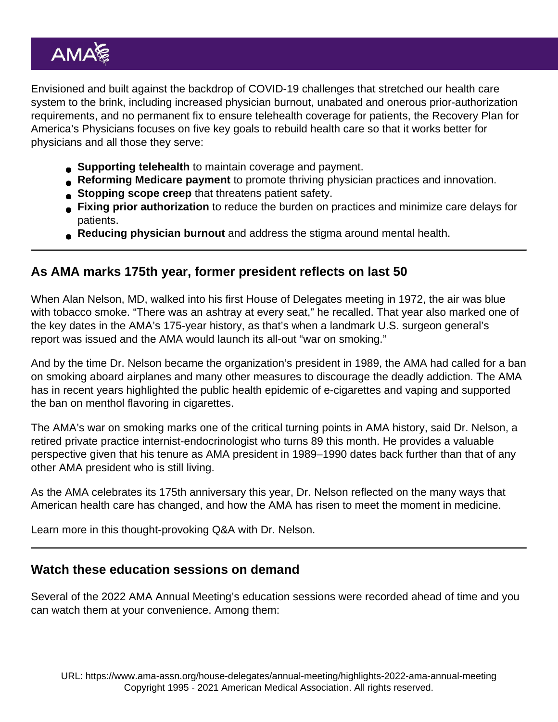Envisioned and built against the backdrop of COVID-19 challenges that stretched our health care system to the brink, including increased [physician burnout](https://www.ama-assn.org/practice-management/physician-health/doctors-hit-hardest-pandemic-higher-risk-burnout), unabated and onerous [prior-authorization](https://www.ama-assn.org/press-center/press-releases/health-insurance-industry-continues-falter-prior-authorization-reform) [requirements](https://www.ama-assn.org/press-center/press-releases/health-insurance-industry-continues-falter-prior-authorization-reform), and no permanent fix to ensure telehealth coverage for patients, the Recovery Plan for America's Physicians focuses on five key goals to rebuild health care so that it works better for physicians and all those they serve:

- [Supporting telehealth](https://www.ama-assn.org/practice-management/digital/ama-helps-physicians-put-telehealth-practice-and-get-paid-it) to maintain coverage and payment.
- [Reforming Medicare payment](https://www.ama-assn.org/practice-management/medicare-medicaid/current-medicare-payment-system-unsustainable-path) to promote thriving physician practices and innovation.
- [Stopping scope creep](https://www.ama-assn.org/practice-management/scope-practice/ama-successfully-fights-scope-practice-expansions-threaten) that threatens patient safety.
- [Fixing prior authorization](https://www.ama-assn.org/practice-management/sustainability/prior-authorization) to reduce the burden on practices and minimize care delays for patients.
- [Reducing physician burnout](https://www.ama-assn.org/practice-management/physician-health/equipping-physicians-manage-burnout-and-maintain-wellness) and address the stigma around mental health.

## As AMA marks 175th year, former president reflects on last 50

When Alan Nelson, MD, walked into his first House of Delegates meeting in 1972, the air was blue with tobacco smoke. "There was an ashtray at every seat," he recalled. That year also marked one of the [key dates in the AMA's 175-year history](https://www.ama-assn.org/about/ama-history/amas-175th-anniversary-key-dates-history), as that's when a landmark U.S. surgeon general's report was issued and the AMA would launch its all-out "war on smoking."

And by the time Dr. Nelson became the organization's president in 1989, the AMA had called for a ban on smoking aboard airplanes and many other measures to discourage the deadly addiction. The AMA has in recent years highlighted the [public health epidemic of e-cigarettes and vaping](https://www.ama-assn.org/delivering-care/public-health/e-cigarettes-and-vaping-public-health-epidemic) and supported the ban on [menthol flavoring in cigarettes](https://www.ama-assn.org/delivering-care/public-health/why-fda-s-move-ban-menthol-flavoring-long-overdue).

The AMA's war on smoking marks one of [the critical turning points in AMA history](https://www.ama-assn.org/about/ama-history/7-turning-points-when-ama-met-moment-medicine), said Dr. Nelson, a retired private practice internist-endocrinologist who turns 89 this month. He provides a valuable perspective given that his tenure as AMA president in 1989–1990 dates back further than that of any other AMA president who is still living.

As the [AMA celebrates its 175th anniversary this year,](https://www.ama-assn.org/about/ama-history/american-medical-associations-175th-anniversary) Dr. Nelson reflected on the many ways that American health care has changed, and how the AMA has risen to meet the moment in medicine.

Learn more in this [thought-provoking Q&A with Dr. Nelson.](https://www.ama-assn.org/about/leadership/qa-ama-marks-175th-year-former-president-reflects-last-50)

## Watch these education sessions on demand

Several of the [2022 AMA Annual Meeting's education sessions](https://www.ama-assn.org/house-delegates/annual-meeting/2022-annual-meeting-education-sessions) were recorded ahead of time and you can watch them at your convenience. Among them: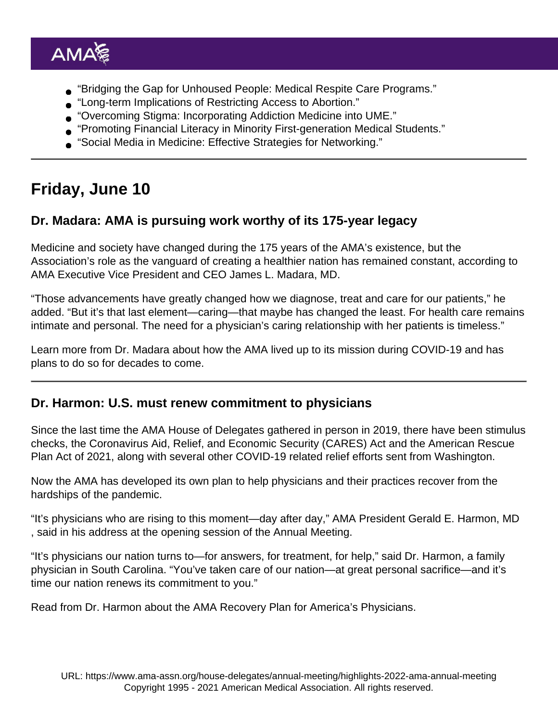- ["Bridging the Gap for Unhoused People: Medical Respite Care Programs.](https://www.youtube.com/watch?v=-5gmnrwUWYM)"
- ["Long-term Implications of Restricting Access to Abortion](https://www.youtube.com/watch?v=nkm-u9wb0U8)."
- ["Overcoming Stigma: Incorporating Addiction Medicine into UME.](https://www.youtube.com/watch?v=1u_vqRBhFFw)"
- ["Promoting Financial Literacy in Minority First-generation Medical Students](https://www.youtube.com/watch?v=cJky2fxWIeE)."
- ["Social Media in Medicine: Effective Strategies for Networking](https://www.youtube.com/watch?v=cKHu3zpdfug)."

# Friday, June 10

Dr. Madara: AMA is pursuing work worthy of its 175-year legacy

Medicine and society have changed during the 175 years of the AMA's existence, but the Association's role as the vanguard of creating a healthier nation has remained constant, according to [AMA Executive Vice President and CEO James L. Madara, MD](https://www.ama-assn.org/news-leadership-viewpoints/authors-news-leadership-viewpoints/james-l-madara-md).

"Those advancements have greatly changed how we diagnose, treat and care for our patients," he added. "But it's that last element—caring—that maybe has changed the least. For health care remains intimate and personal. The need for a physician's caring relationship with her patients is timeless."

[Learn more from Dr. Madara](https://www.ama-assn.org/house-delegates/annual-meeting/dr-madara-ama-pursuing-work-worthy-its-175-year-legacy) about how the AMA lived up to its mission during COVID-19 and has plans to do so for decades to come.

## Dr. Harmon: U.S. must renew commitment to physicians

Since the last time the [AMA House of Delegates](https://www.ama-assn.org/house-delegates) gathered in person in 2019, there have been stimulus checks, the Coronavirus Aid, Relief, and Economic Security (CARES) Act and the American Rescue Plan Act of 2021, along with several other COVID-19 related relief efforts sent from Washington.

Now the AMA has developed its own plan to help physicians and their practices recover from the hardships of the pandemic.

"It's physicians who are rising to this moment—day after day," AMA President [Gerald E. Harmon, MD](https://www.ama-assn.org/about/board-trustees/gerald-e-harmon-md) , said in his address at the opening session of the Annual Meeting.

"It's physicians our nation turns to—for answers, for treatment, for help," said Dr. Harmon, a family physician in South Carolina. "You've taken care of our nation—at great personal sacrifice—and it's time our nation renews its commitment to you."

Read from Dr. Harmon [about the AMA Recovery Plan for America's Physicians](https://www.ama-assn.org/house-delegates/annual-meeting/dr-harmon-us-must-renew-its-commitment-physicians).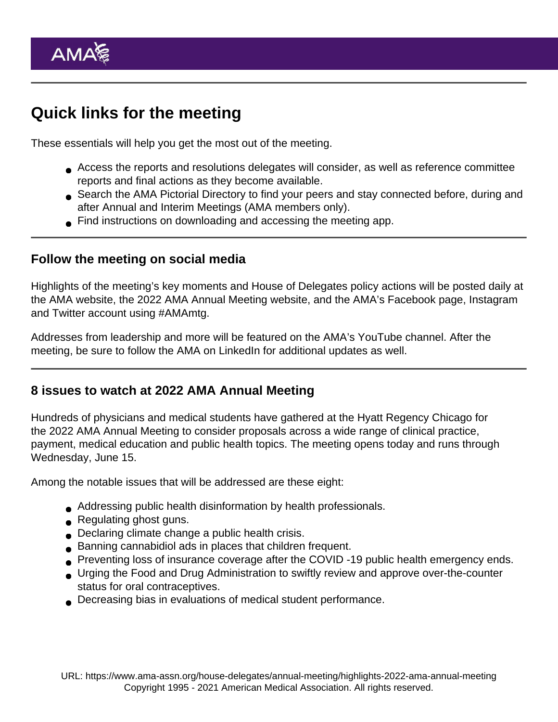# Quick links for the meeting

These essentials will help you get the most out of the meeting.

- Access the [reports and resolutions](https://www.ama-assn.org/house-delegates/annual-meeting/business-june-2022-meeting-ama-house-delegates) delegates will consider, as well as reference committee reports and final actions as they become available.
- Search the [AMA Pictorial Directory](https://pictorialdirectory.ama-assn.org/) to find your peers and stay connected before, during and after Annual and Interim Meetings (AMA members only).
- Find instructions on [downloading and accessing the meeting app](https://www.ama-assn.org/house-delegates/annual-meeting/ama-meetings-app-faqs).

#### Follow the meeting on social media

Highlights of the meeting's key moments and House of Delegates policy actions will be posted daily at the [AMA website](https://www.ama-assn.org/house-delegates/special-meeting), the [2022 AMA Annual Meeting website](https://www.ama-assn.org/house-delegates/annual-meeting), and the [AMA's Facebook page](https://www.facebook.com/AmericanMedicalAssociation/), [Instagram](https://www.instagram.com/AmerMedicalAssn/) and [Twitter account](http://twitter.com/amermedicalassn) using [#AMAmtg.](https://twitter.com/search?q=#amamtg&src=typd&f=live)

Addresses from leadership and more will be featured on the [AMA's YouTube channel.](https://youtube.com/AmericanMedicalAssoc) After the meeting, be sure to follow the AMA on [LinkedIn](https://www.linkedin.com/company/american-medical-association/) for additional updates as well.

#### 8 issues to watch at 2022 AMA Annual Meeting

Hundreds of physicians and medical students have gathered at the Hyatt Regency Chicago for the 2022 AMA Annual Meeting to consider proposals across a wide range of clinical practice, payment, medical education and public health topics. The meeting opens today and runs through Wednesday, June 15.

Among the notable issues that will be addressed are these eight:

- Addressing public health disinformation by health professionals.
- Regulating ghost guns.
- Declaring climate change a public health crisis.
- Banning cannabidiol ads in places that children frequent.
- Preventing loss of insurance coverage after the COVID -19 public health emergency ends.
- Urging the Food and Drug Administration to swiftly review and approve over-the-counter status for oral contraceptives.
- Decreasing bias in evaluations of medical student performance.